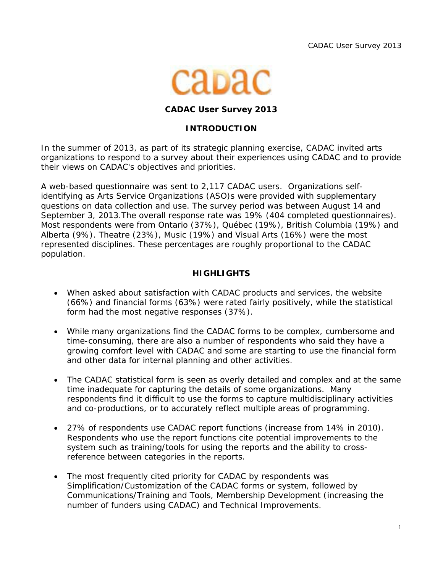

#### **CADAC User Survey 2013**

#### **INTRODUCTION**

In the summer of 2013, as part of its strategic planning exercise, CADAC invited arts organizations to respond to a survey about their experiences using CADAC and to provide their views on CADAC's objectives and priorities.

A web-based questionnaire was sent to 2,117 CADAC users. Organizations selfidentifying as Arts Service Organizations (ASO)s were provided with supplementary questions on data collection and use. The survey period was between August 14 and September 3, 2013.The overall response rate was 19% (404 completed questionnaires). Most respondents were from Ontario (37%), Québec (19%), British Columbia (19%) and Alberta (9%). Theatre (23%), Music (19%) and Visual Arts (16%) were the most represented disciplines. These percentages are roughly proportional to the CADAC population.

### **HIGHLIGHTS**

- When asked about satisfaction with CADAC products and services, the website (66%) and financial forms (63%) were rated fairly positively, while the statistical form had the most negative responses (37%).
- While many organizations find the CADAC forms to be complex, cumbersome and time-consuming, there are also a number of respondents who said they have a growing comfort level with CADAC and some are starting to use the financial form and other data for internal planning and other activities.
- The CADAC statistical form is seen as overly detailed and complex and at the same time inadequate for capturing the details of some organizations. Many respondents find it difficult to use the forms to capture multidisciplinary activities and co-productions, or to accurately reflect multiple areas of programming.
- 27% of respondents use CADAC report functions (increase from 14% in 2010). Respondents who use the report functions cite potential improvements to the system such as training/tools for using the reports and the ability to crossreference between categories in the reports.
- The most frequently cited priority for CADAC by respondents was Simplification/Customization of the CADAC forms or system, followed by Communications/Training and Tools, Membership Development (increasing the number of funders using CADAC) and Technical Improvements.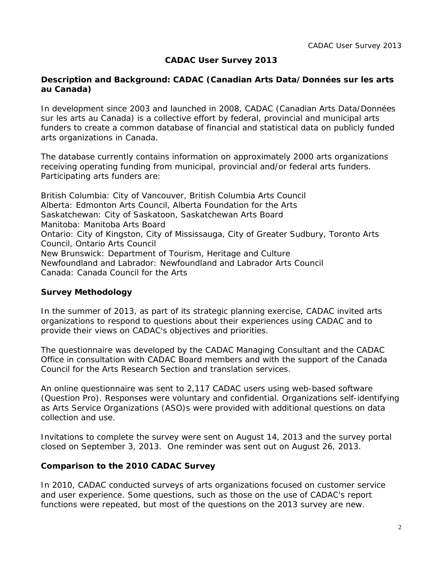## **CADAC User Survey 2013**

#### **Description and Background: CADAC (Canadian Arts Data/Données sur les arts au Canada)**

In development since 2003 and launched in 2008, CADAC (Canadian Arts Data/Données sur les arts au Canada) is a collective effort by federal, provincial and municipal arts funders to create a common database of financial and statistical data on publicly funded arts organizations in Canada.

The database currently contains information on approximately 2000 arts organizations receiving operating funding from municipal, provincial and/or federal arts funders. Participating arts funders are:

British Columbia: *City of Vancouver, British Columbia Arts Council* Alberta: *Edmonton Arts Council, Alberta Foundation for the Arts*  Saskatchewan: *City of Saskatoon, Saskatchewan Arts Board* Manitoba: *Manitoba Arts Board* Ontario: *City of Kingston, City of Mississauga, City of Greater Sudbury, Toronto Arts Council, Ontario Arts Council* New Brunswick: *Department of Tourism, Heritage and Culture* Newfoundland and Labrador: *Newfoundland and Labrador Arts Council* Canada: *Canada Council for the Arts* 

#### **Survey Methodology**

In the summer of 2013, as part of its strategic planning exercise, CADAC invited arts organizations to respond to questions about their experiences using CADAC and to provide their views on CADAC's objectives and priorities.

The questionnaire was developed by the CADAC Managing Consultant and the CADAC Office in consultation with CADAC Board members and with the support of the Canada Council for the Arts Research Section and translation services.

An online questionnaire was sent to 2,117 CADAC users using web-based software (Question Pro). Responses were voluntary and confidential. Organizations self-identifying as Arts Service Organizations (ASO)s were provided with additional questions on data collection and use.

Invitations to complete the survey were sent on August 14, 2013 and the survey portal closed on September 3, 2013. One reminder was sent out on August 26, 2013.

#### **Comparison to the 2010 CADAC Survey**

In 2010, CADAC conducted surveys of arts organizations focused on customer service and user experience. Some questions, such as those on the use of CADAC's report functions were repeated, but most of the questions on the 2013 survey are new.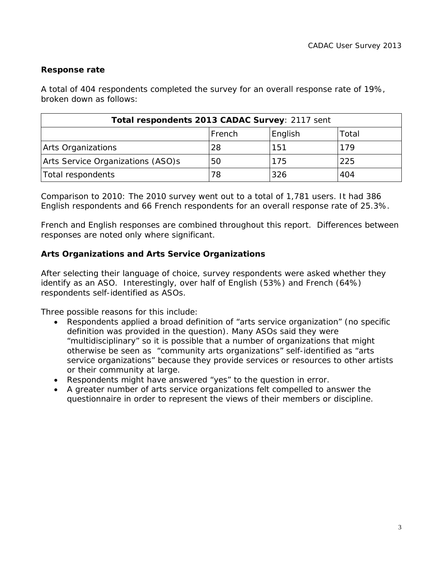## **Response rate**

A total of 404 respondents completed the survey for an overall response rate of 19%, broken down as follows:

| Total respondents 2013 CADAC Survey: 2117 sent |        |         |       |
|------------------------------------------------|--------|---------|-------|
|                                                | French | English | Total |
| Arts Organizations                             | 28     | 151     | 179   |
| Arts Service Organizations (ASO)s              | 50     | 175     | 225   |
| Total respondents                              | 78     | 326     | 404   |

*Comparison to 2010: The 2010 survey went out to a total of 1,781 users. It had 386 English respondents and 66 French respondents for an overall response rate of 25.3%.* 

French and English responses are combined throughout this report. Differences between responses are noted only where significant.

### **Arts Organizations and Arts Service Organizations**

After selecting their language of choice, survey respondents were asked whether they identify as an ASO. Interestingly, over half of English (53%) and French (64%) respondents self-identified as ASOs.

Three possible reasons for this include:

- Respondents applied a broad definition of "arts service organization" (no specific definition was provided in the question). Many ASOs said they were "multidisciplinary" so it is possible that a number of organizations that might otherwise be seen as "community arts organizations" self-identified as "arts service organizations" because they provide services or resources to other artists or their community at large.
- Respondents might have answered "yes" to the question in error.
- A greater number of arts service organizations felt compelled to answer the questionnaire in order to represent the views of their members or discipline.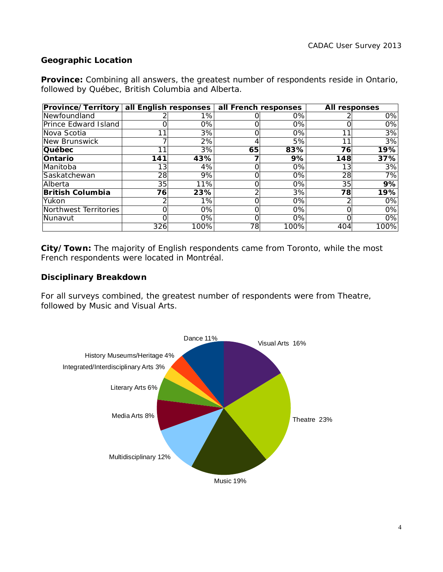## **Geographic Location**

**Province:** Combining all answers, the greatest number of respondents reside in Ontario, followed by Québec, British Columbia and Alberta.

| <b>Province/Territory</b> |     | all English responses | all French responses |       | All responses |      |
|---------------------------|-----|-----------------------|----------------------|-------|---------------|------|
| Newfoundland              |     | 1%                    |                      | 0%    |               | 0%   |
| Prince Edward Island      |     | 0%                    |                      | 0%    | Ω             | 0%   |
| Nova Scotia               |     | 3%                    |                      | $0\%$ | 11            | 3%   |
| New Brunswick             |     | 2%                    | 4                    | 5%    | 11            | 3%   |
| Québec                    |     | 3%                    | 65                   | 83%   | 76            | 19%  |
| Ontario                   | 141 | 43%                   |                      | 9%    | 148           | 37%  |
| Manitoba                  | 13  | 4%                    |                      | $0\%$ | 13            | 3%   |
| Saskatchewan              | 28  | 9%                    | ი                    | 0%    | 28            | 7%   |
| Alberta                   | 35  | 11%                   |                      | 0%    | 35            | 9%   |
| <b>British Columbia</b>   | 76  | 23%                   | ⌒                    | 3%    | 78            | 19%  |
| Yukon                     |     | 1%                    |                      | 0%    | ⌒             | 0%   |
| Northwest Territories     | Ωl  | 0%                    |                      | $0\%$ | O             | 0%   |
| Nunavut                   |     | 0%                    |                      | $0\%$ | $\Omega$      | 0%   |
|                           | 326 | 100%                  | 78                   | 100%  | 404           | 100% |

**City/Town:** The majority of English respondents came from Toronto, while the most French respondents were located in Montréal.

#### **Disciplinary Breakdown**

For all surveys combined, the greatest number of respondents were from Theatre, followed by Music and Visual Arts.

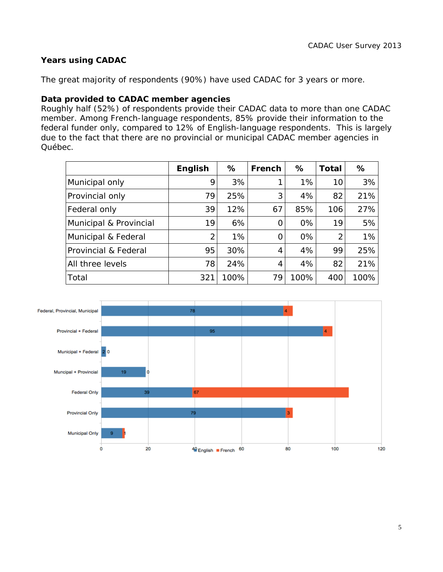## **Years using CADAC**

The great majority of respondents (90%) have used CADAC for 3 years or more.

#### **Data provided to CADAC member agencies**

Roughly half (52%) of respondents provide their CADAC data to more than one CADAC member. Among French-language respondents, 85% provide their information to the federal funder only, compared to 12% of English-language respondents. This is largely due to the fact that there are no provincial or municipal CADAC member agencies in Québec.

|                        | <b>English</b> | %     | French | %     | <b>Total</b>  | %    |
|------------------------|----------------|-------|--------|-------|---------------|------|
| Municipal only         | 9              | 3%    |        | $1\%$ | 10            | 3%   |
| Provincial only        | 79             | 25%   | 3      | 4%    | 82            | 21%  |
| Federal only           | 39             | 12%   | 67     | 85%   | 106           | 27%  |
| Municipal & Provincial | 19             | 6%    | 0      | 0%    | 19            | 5%   |
| Municipal & Federal    | 2              | $1\%$ | 0      | 0%    | $\mathcal{P}$ | 1%   |
| Provincial & Federal   | 95             | 30%   | 4      | 4%    | 99            | 25%  |
| All three levels       | 78             | 24%   | 4      | 4%    | 82            | 21%  |
| Total                  | 321            | 100%  | 79     | 100%  | 400           | 100% |

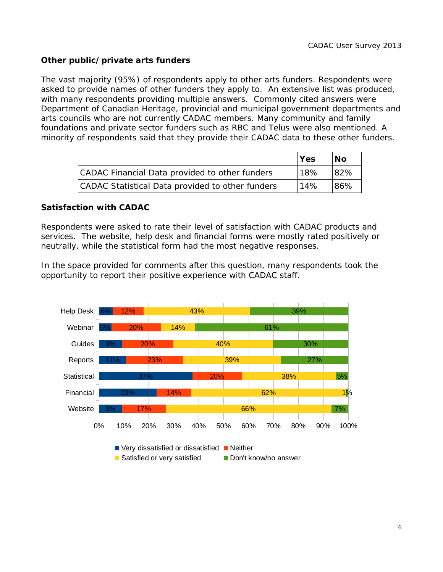## **Other public/private arts funders**

The vast majority (95%) of respondents apply to other arts funders. Respondents were asked to provide names of other funders they apply to. An extensive list was produced, with many respondents providing multiple answers. Commonly cited answers were Department of Canadian Heritage, provincial and municipal government departments and arts councils who are not currently CADAC members. Many community and family foundations and private sector funders such as RBC and Telus were also mentioned. A minority of respondents said that they provide their CADAC data to these other funders.

|                                                  | Yes | No.  |
|--------------------------------------------------|-----|------|
| CADAC Financial Data provided to other funders   | 18% | 82%  |
| CADAC Statistical Data provided to other funders | 14% | '86% |

#### **Satisfaction with CADAC**

Respondents were asked to rate their level of satisfaction with CADAC products and services. The website, help desk and financial forms were mostly rated positively or neutrally, while the statistical form had the most negative responses.

In the space provided for comments after this question, many respondents took the opportunity to report their positive experience with CADAC staff.

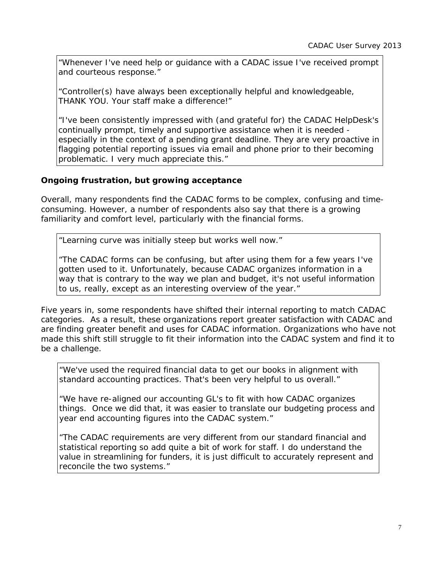*"Whenever I've need help or guidance with a CADAC issue I've received prompt and courteous response."*

*"Controller(s) have always been exceptionally helpful and knowledgeable, THANK YOU. Your staff make a difference!"*

*"I've been consistently impressed with (and grateful for) the CADAC HelpDesk's continually prompt, timely and supportive assistance when it is needed*  especially in the context of a pending grant deadline. They are very proactive in flagging potential reporting issues via email and phone prior to their becoming *problematic. I very much appreciate this."* 

## **Ongoing frustration, but growing acceptance**

Overall, many respondents find the CADAC forms to be complex, confusing and timeconsuming. However, a number of respondents also say that there is a growing familiarity and comfort level, particularly with the financial forms.

*"Learning curve was initially steep but works well now."*

*"The CADAC forms can be confusing, but after using them for a few years I've gotten used to it. Unfortunately, because CADAC organizes information in a way that is contrary to the way we plan and budget, it's not useful information to us, really, except as an interesting overview of the year."* 

Five years in, some respondents have shifted their internal reporting to match CADAC categories. As a result, these organizations report greater satisfaction with CADAC and are finding greater benefit and uses for CADAC information. Organizations who have not made this shift still struggle to fit their information into the CADAC system and find it to be a challenge.

*"We've used the required financial data to get our books in alignment with standard accounting practices. That's been very helpful to us overall."*

*"We have re-aligned our accounting GL's to fit with how CADAC organizes things. Once we did that, it was easier to translate our budgeting process and year end accounting figures into the CADAC system."* 

*"The CADAC requirements are very different from our standard financial and statistical reporting so add quite a bit of work for staff. I do understand the value in streamlining for funders, it is just difficult to accurately represent and reconcile the two systems."*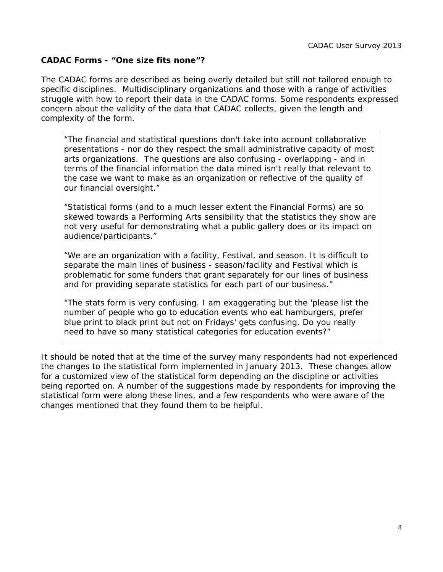### **CADAC Forms - "One size fits none"?**

The CADAC forms are described as being overly detailed but still not tailored enough to specific disciplines. Multidisciplinary organizations and those with a range of activities struggle with how to report their data in the CADAC forms. Some respondents expressed concern about the validity of the data that CADAC collects, given the length and complexity of the form.

*"The financial and statistical questions don't take into account collaborative presentations - nor do they respect the small administrative capacity of most arts organizations. The questions are also confusing - overlapping - and in terms of the financial information the data mined isn't really that relevant to the case we want to make as an organization or reflective of the quality of our financial oversight."*

*"Statistical forms (and to a much lesser extent the Financial Forms) are so skewed towards a Performing Arts sensibility that the statistics they show are*  not very useful for demonstrating what a public gallery does or its impact on *audience/participants."*

*"We are an organization with a facility, Festival, and season. It is difficult to separate the main lines of business - season/facility and Festival which is problematic for some funders that grant separately for our lines of business and for providing separate statistics for each part of our business."*

*"The stats form is very confusing. I am exaggerating but the 'please list the number of people who go to education events who eat hamburgers, prefer blue print to black print but not on Fridays' gets confusing. Do you really need to have so many statistical categories for education events?"*

It should be noted that at the time of the survey many respondents had not experienced the changes to the statistical form implemented in January 2013. These changes allow for a customized view of the statistical form depending on the discipline or activities being reported on. A number of the suggestions made by respondents for improving the statistical form were along these lines, and a few respondents who were aware of the changes mentioned that they found them to be helpful.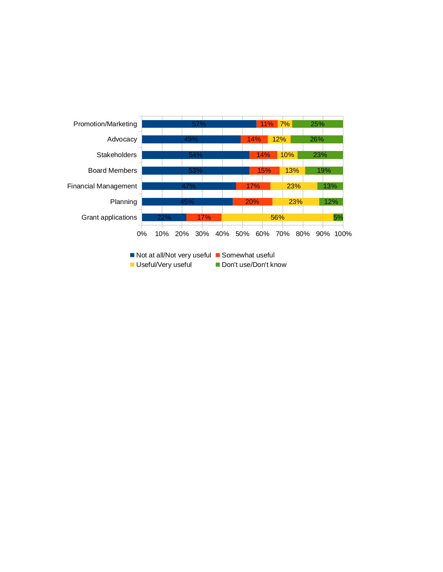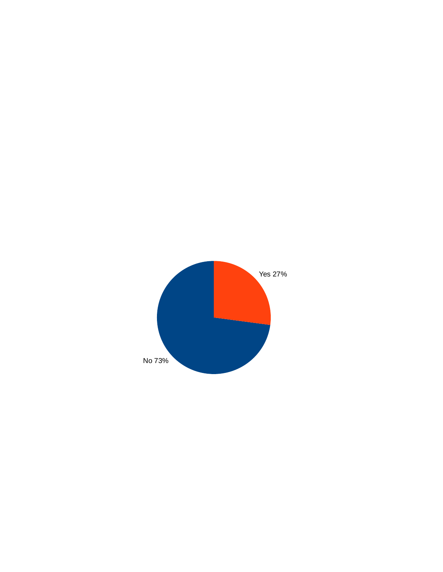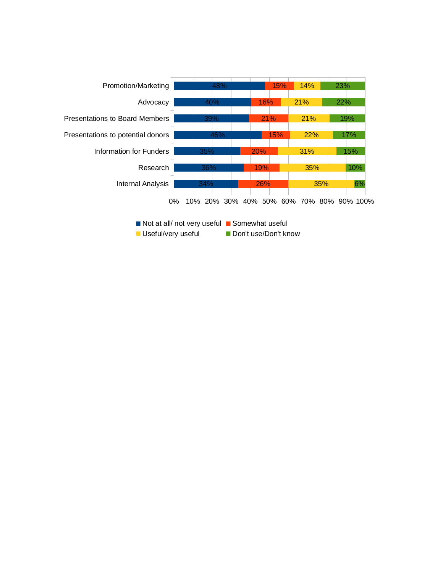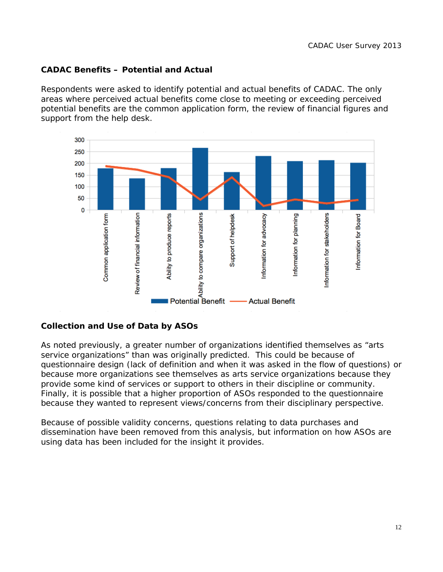## **CADAC Benefits – Potential and Actual**

Respondents were asked to identify potential and actual benefits of CADAC. The only areas where perceived actual benefits come close to meeting or exceeding perceived potential benefits are the common application form, the review of financial figures and support from the help desk.



## **Collection and Use of Data by ASOs**

As noted previously, a greater number of organizations identified themselves as "arts service organizations" than was originally predicted. This could be because of questionnaire design (lack of definition and when it was asked in the flow of questions) or because more organizations see themselves as arts service organizations because they provide some kind of services or support to others in their discipline or community. Finally, it is possible that a higher proportion of ASOs responded to the questionnaire because they wanted to represent views/concerns from their disciplinary perspective.

Because of possible validity concerns, questions relating to data purchases and dissemination have been removed from this analysis, but information on how ASOs are using data has been included for the insight it provides.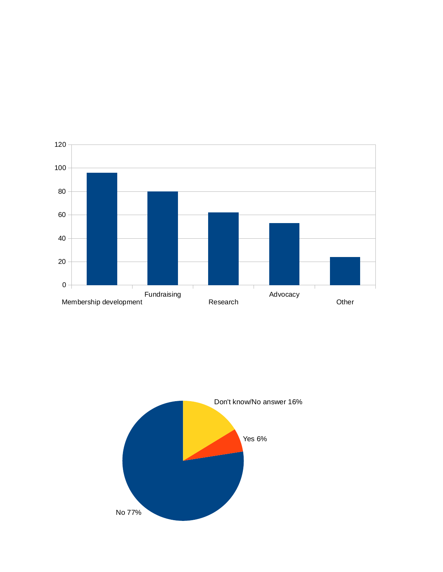

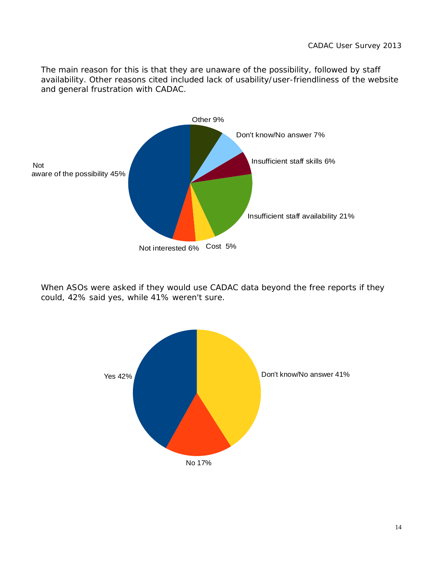The main reason for this is that they are unaware of the possibility, followed by staff availability. Other reasons cited included lack of usability/user-friendliness of the website and general frustration with CADAC.



When ASOs were asked if they would use CADAC data beyond the free reports if they could, 42% said yes, while 41% weren't sure.

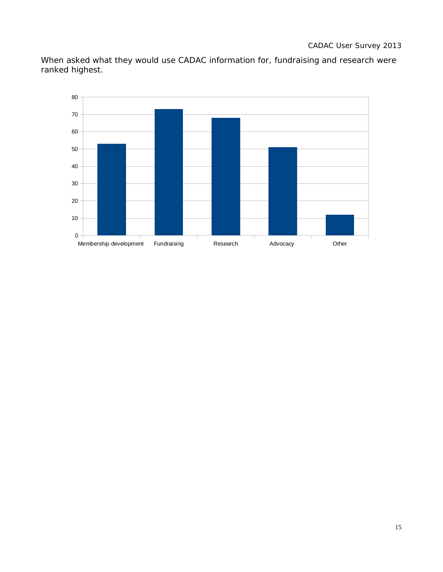When asked what they would use CADAC information for, fundraising and research were ranked highest.

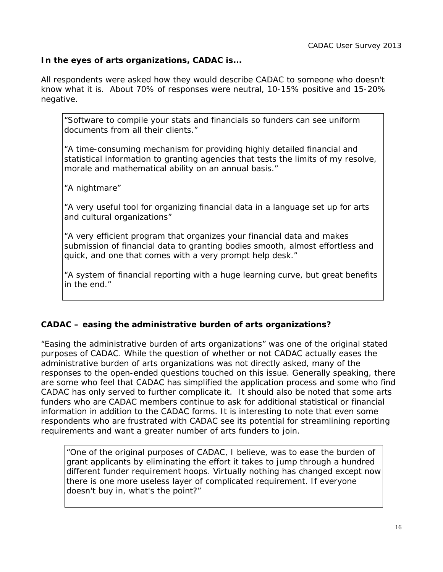## **In the eyes of arts organizations, CADAC is...**

All respondents were asked how they would describe CADAC to someone who doesn't know what it is. About 70% of responses were neutral, 10-15% positive and 15-20% negative.

*"Software to compile your stats and financials so funders can see uniform documents from all their clients."*

*"A time-consuming mechanism for providing highly detailed financial and statistical information to granting agencies that tests the limits of my resolve, morale and mathematical ability on an annual basis."*

*"A nightmare"*

*"A very useful tool for organizing financial data in a language set up for arts and cultural organizations"*

*"A very efficient program that organizes your financial data and makes submission of financial data to granting bodies smooth, almost effortless and quick, and one that comes with a very prompt help desk."*

*"A system of financial reporting with a huge learning curve, but great benefits in the end."*

## **CADAC – easing the administrative burden of arts organizations?**

"Easing the administrative burden of arts organizations" was one of the original stated purposes of CADAC. While the question of whether or not CADAC actually eases the administrative burden of arts organizations was not directly asked, many of the responses to the open-ended questions touched on this issue. Generally speaking, there are some who feel that CADAC has simplified the application process and some who find CADAC has only served to further complicate it. It should also be noted that some arts funders who are CADAC members continue to ask for additional statistical or financial information in addition to the CADAC forms. It is interesting to note that even some respondents who are frustrated with CADAC see its potential for streamlining reporting requirements and want a greater number of arts funders to join.

*"One of the original purposes of CADAC, I believe, was to ease the burden of grant applicants by eliminating the effort it takes to jump through a hundred different funder requirement hoops. Virtually nothing has changed except now there is one more useless layer of complicated requirement. If everyone doesn't buy in, what's the point?"*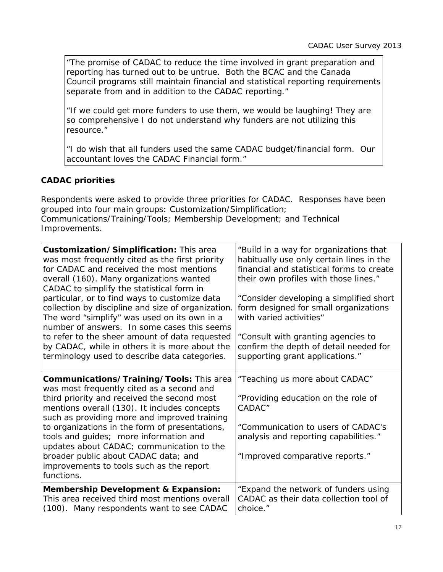*"The promise of CADAC to reduce the time involved in grant preparation and reporting has turned out to be untrue. Both the BCAC and the Canada Council programs still maintain financial and statistical reporting requirements separate from and in addition to the CADAC reporting."* 

*"If we could get more funders to use them, we would be laughing! They are so comprehensive I do not understand why funders are not utilizing this resource."*

*"I do wish that all funders used the same CADAC budget/financial form. Our accountant loves the CADAC Financial form."*

## **CADAC priorities**

Respondents were asked to provide three priorities for CADAC. Responses have been grouped into four main groups: Customization/Simplification; Communications/Training/Tools; Membership Development; and Technical Improvements.

| Customization/Simplification: This area<br>was most frequently cited as the first priority<br>for CADAC and received the most mentions<br>overall (160). Many organizations wanted<br>CADAC to simplify the statistical form in | "Build in a way for organizations that<br>habitually use only certain lines in the<br>financial and statistical forms to create<br>their own profiles with those lines." |
|---------------------------------------------------------------------------------------------------------------------------------------------------------------------------------------------------------------------------------|--------------------------------------------------------------------------------------------------------------------------------------------------------------------------|
| particular, or to find ways to customize data<br>collection by discipline and size of organization.<br>The word "simplify" was used on its own in a<br>number of answers. In some cases this seems                              | "Consider developing a simplified short<br>form designed for small organizations<br>with varied activities"                                                              |
| to refer to the sheer amount of data requested<br>by CADAC, while in others it is more about the<br>terminology used to describe data categories.                                                                               | "Consult with granting agencies to<br>confirm the depth of detail needed for<br>supporting grant applications."                                                          |
| Communications/Training/Tools: This area<br>was most frequently cited as a second and                                                                                                                                           | "Teaching us more about CADAC"                                                                                                                                           |
| third priority and received the second most<br>mentions overall (130). It includes concepts<br>such as providing more and improved training                                                                                     | "Providing education on the role of<br>CADAC"                                                                                                                            |
| to organizations in the form of presentations,<br>tools and guides; more information and<br>updates about CADAC; communication to the                                                                                           | "Communication to users of CADAC's<br>analysis and reporting capabilities."                                                                                              |
| broader public about CADAC data; and<br>improvements to tools such as the report<br>functions.                                                                                                                                  | "Improved comparative reports."                                                                                                                                          |
| <b>Membership Development &amp; Expansion:</b><br>This area received third most mentions overall<br>(100). Many respondents want to see CADAC                                                                                   | "Expand the network of funders using<br>CADAC as their data collection tool of<br>choice."                                                                               |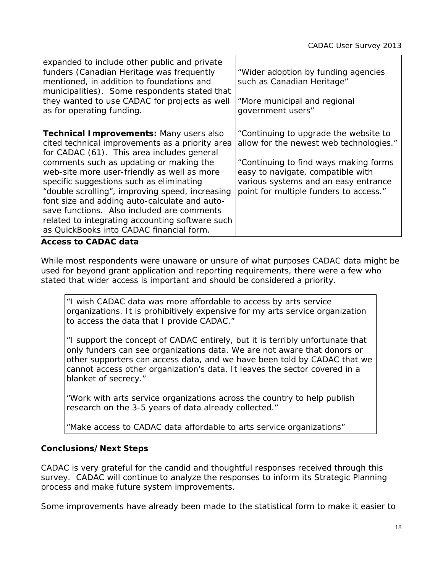| expanded to include other public and private<br>funders (Canadian Heritage was frequently<br>mentioned, in addition to foundations and<br>municipalities). Some respondents stated that<br>they wanted to use CADAC for projects as well<br>as for operating funding.                                                                                                                                                                                                                                                                  | "Wider adoption by funding agencies<br>such as Canadian Heritage"<br>"More municipal and regional<br>government users"                                                                                                                           |
|----------------------------------------------------------------------------------------------------------------------------------------------------------------------------------------------------------------------------------------------------------------------------------------------------------------------------------------------------------------------------------------------------------------------------------------------------------------------------------------------------------------------------------------|--------------------------------------------------------------------------------------------------------------------------------------------------------------------------------------------------------------------------------------------------|
| <b>Technical Improvements: Many users also</b><br>cited technical improvements as a priority area<br>for CADAC (61). This area includes general<br>comments such as updating or making the<br>web-site more user-friendly as well as more<br>specific suggestions such as eliminating<br>"double scrolling", improving speed, increasing<br>font size and adding auto-calculate and auto-<br>save functions. Also included are comments<br>related to integrating accounting software such<br>as QuickBooks into CADAC financial form. | "Continuing to upgrade the website to<br>allow for the newest web technologies."<br>"Continuing to find ways making forms<br>easy to navigate, compatible with<br>various systems and an easy entrance<br>point for multiple funders to access." |
| <b>Access to CADAC data</b>                                                                                                                                                                                                                                                                                                                                                                                                                                                                                                            |                                                                                                                                                                                                                                                  |

While most respondents were unaware or unsure of what purposes CADAC data might be used for beyond grant application and reporting requirements, there were a few who stated that wider access is important and should be considered a priority.

*"I wish CADAC data was more affordable to access by arts service organizations. It is prohibitively expensive for my arts service organization to access the data that I provide CADAC."*

*"I support the concept of CADAC entirely, but it is terribly unfortunate that only funders can see organizations data. We are not aware that donors or other supporters can access data, and we have been told by CADAC that we cannot access other organization's data. It leaves the sector covered in a blanket of secrecy."*

*"Work with arts service organizations across the country to help publish research on the 3-5 years of data already collected."*

*"Make access to CADAC data affordable to arts service organizations"*

# **Conclusions/Next Steps**

CADAC is very grateful for the candid and thoughtful responses received through this survey. CADAC will continue to analyze the responses to inform its Strategic Planning process and make future system improvements.

Some improvements have already been made to the statistical form to make it easier to